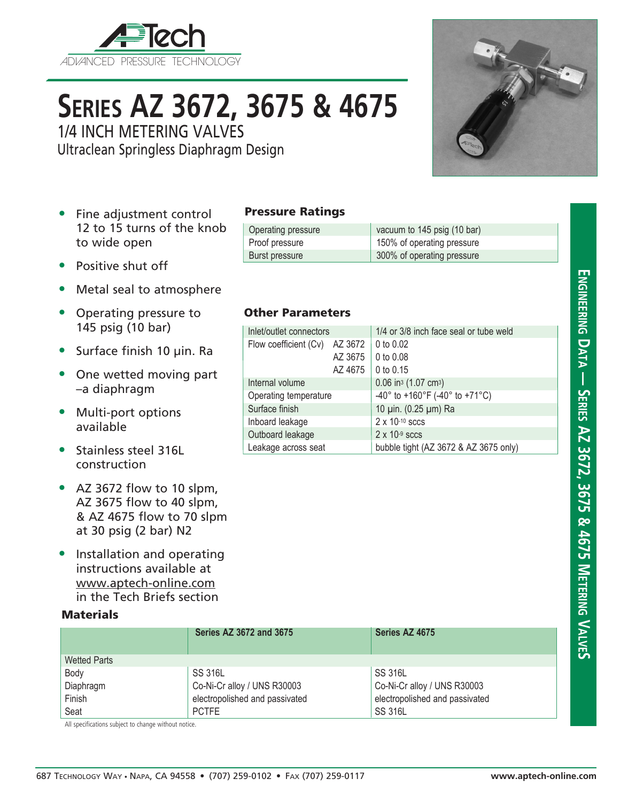

# **Series AZ 3672, 3675 & 4675**

1/4 INCH METERING VALVES

Ultraclean Springless Diaphragm Design



- Fine adjustment control 12 to 15 turns of the knob to wide open
- Positive shut off
- Metal seal to atmosphere
- Operating pressure to 145 psig (10 bar)
- Surface finish 10 µin. Ra
- One wetted moving part –a diaphragm
- Multi-port options available
- Stainless steel 316L construction
- AZ 3672 flow to 10 slpm, AZ 3675 flow to 40 slpm, & AZ 4675 flow to 70 slpm at 30 psig (2 bar) N2
- Installation and operating instructions available at www.aptech-online.com in the Tech Briefs section

### **Materials**

|                     | <b>Series AZ 3672 and 3675</b> | Series AZ 4675                 |
|---------------------|--------------------------------|--------------------------------|
| <b>Wetted Parts</b> |                                |                                |
| Body                | <b>SS 316L</b>                 | <b>SS 316L</b>                 |
| Diaphragm           | Co-Ni-Cr alloy / UNS R30003    | Co-Ni-Cr alloy / UNS R30003    |
| Finish              | electropolished and passivated | electropolished and passivated |
| Seat                | <b>PCTFE</b>                   | <b>SS 316L</b>                 |

All specifications subject to change without notice.

#### Pressure Ratings

| Operating pressure | vacuum to 145 psig (10 bar) |
|--------------------|-----------------------------|
| Proof pressure     | 150% of operating pressure  |
| Burst pressure     | 300% of operating pressure  |

#### Other Parameters

| Inlet/outlet connectors |         | 1/4 or 3/8 inch face seal or tube weld         |  |
|-------------------------|---------|------------------------------------------------|--|
| Flow coefficient (Cv)   | AZ 3672 | 0 to $0.02$                                    |  |
|                         | AZ 3675 | 0 to $0.08$                                    |  |
|                         | AZ 4675 | 0 to $0.15$                                    |  |
| Internal volume         |         | $0.06$ in <sup>3</sup> (1.07 cm <sup>3</sup> ) |  |
| Operating temperature   |         | -40° to +160°F (-40° to +71°C)                 |  |
| Surface finish          |         | 10 µin. (0.25 µm) Ra                           |  |
| Inboard leakage         |         | $2 \times 10^{-10}$ sccs                       |  |
| Outboard leakage        |         | $2 \times 10^{-9}$ sccs                        |  |
| Leakage across seat     |         | bubble tight (AZ 3672 & AZ 3675 only)          |  |